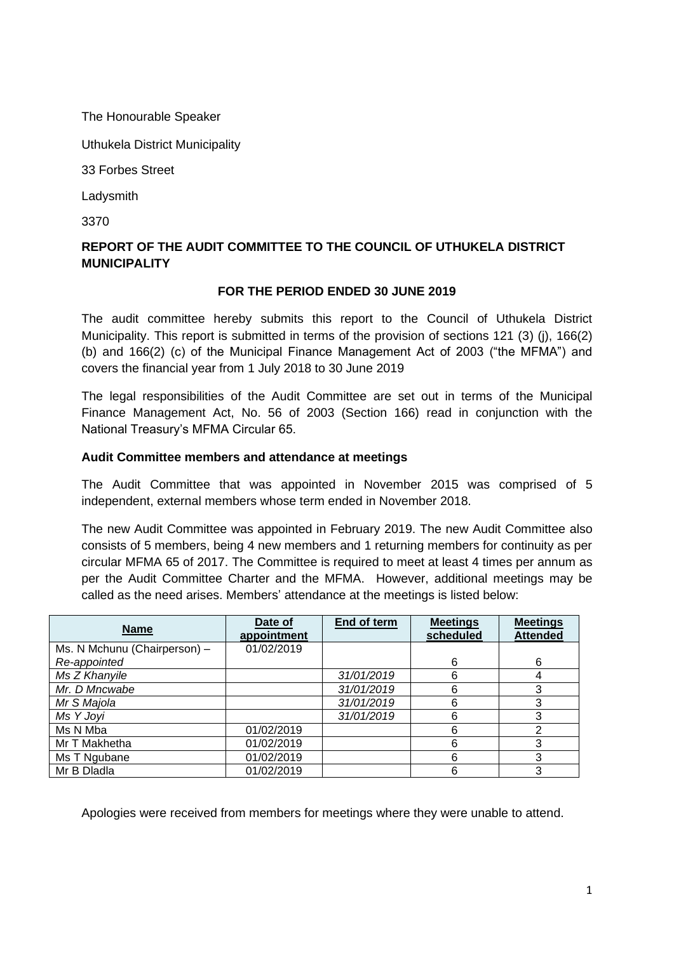The Honourable Speaker

Uthukela District Municipality

33 Forbes Street

Ladysmith

3370

# **REPORT OF THE AUDIT COMMITTEE TO THE COUNCIL OF UTHUKELA DISTRICT MUNICIPALITY**

### **FOR THE PERIOD ENDED 30 JUNE 2019**

The audit committee hereby submits this report to the Council of Uthukela District Municipality. This report is submitted in terms of the provision of sections 121 (3) (j), 166(2) (b) and 166(2) (c) of the Municipal Finance Management Act of 2003 ("the MFMA") and covers the financial year from 1 July 2018 to 30 June 2019

The legal responsibilities of the Audit Committee are set out in terms of the Municipal Finance Management Act, No. 56 of 2003 (Section 166) read in conjunction with the National Treasury's MFMA Circular 65.

### **Audit Committee members and attendance at meetings**

The Audit Committee that was appointed in November 2015 was comprised of 5 independent, external members whose term ended in November 2018.

The new Audit Committee was appointed in February 2019. The new Audit Committee also consists of 5 members, being 4 new members and 1 returning members for continuity as per circular MFMA 65 of 2017. The Committee is required to meet at least 4 times per annum as per the Audit Committee Charter and the MFMA. However, additional meetings may be called as the need arises. Members' attendance at the meetings is listed below:

| <b>Name</b>                  | Date of<br>appointment | End of term | <b>Meetings</b><br>scheduled | <b>Meetings</b><br><b>Attended</b> |
|------------------------------|------------------------|-------------|------------------------------|------------------------------------|
| Ms. N Mchunu (Chairperson) - | 01/02/2019             |             |                              |                                    |
| Re-appointed                 |                        |             | 6                            | 6                                  |
| Ms Z Khanyile                |                        | 31/01/2019  | 6                            | 4                                  |
| Mr. D Mncwabe                |                        | 31/01/2019  | 6                            | 3                                  |
| Mr S Majola                  |                        | 31/01/2019  | 6                            | 3                                  |
| Ms Y Joyi                    |                        | 31/01/2019  | 6                            | 3                                  |
| Ms N Mba                     | 01/02/2019             |             | 6                            | っ                                  |
| Mr T Makhetha                | 01/02/2019             |             | 6                            | 3                                  |
| Ms T Ngubane                 | 01/02/2019             |             | 6                            | 3                                  |
| Mr B Dladla                  | 01/02/2019             |             | 6                            | 3                                  |

Apologies were received from members for meetings where they were unable to attend.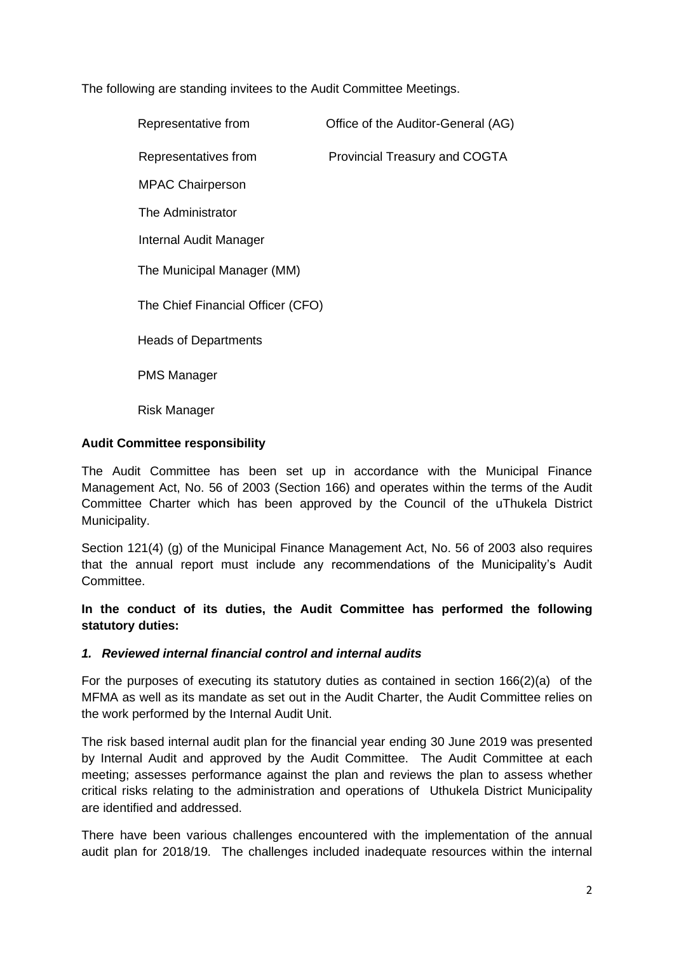The following are standing invitees to the Audit Committee Meetings.

| Representative from               | Office of the Auditor-General (AG)   |  |  |  |
|-----------------------------------|--------------------------------------|--|--|--|
| Representatives from              | <b>Provincial Treasury and COGTA</b> |  |  |  |
| <b>MPAC Chairperson</b>           |                                      |  |  |  |
| The Administrator                 |                                      |  |  |  |
| Internal Audit Manager            |                                      |  |  |  |
| The Municipal Manager (MM)        |                                      |  |  |  |
| The Chief Financial Officer (CFO) |                                      |  |  |  |
| <b>Heads of Departments</b>       |                                      |  |  |  |
| <b>PMS Manager</b>                |                                      |  |  |  |
| Risk Manager                      |                                      |  |  |  |

## **Audit Committee responsibility**

The Audit Committee has been set up in accordance with the Municipal Finance Management Act, No. 56 of 2003 (Section 166) and operates within the terms of the Audit Committee Charter which has been approved by the Council of the uThukela District Municipality.

Section 121(4) (g) of the Municipal Finance Management Act, No. 56 of 2003 also requires that the annual report must include any recommendations of the Municipality's Audit Committee.

## **In the conduct of its duties, the Audit Committee has performed the following statutory duties:**

#### *1. Reviewed internal financial control and internal audits*

For the purposes of executing its statutory duties as contained in section 166(2)(a) of the MFMA as well as its mandate as set out in the Audit Charter, the Audit Committee relies on the work performed by the Internal Audit Unit.

The risk based internal audit plan for the financial year ending 30 June 2019 was presented by Internal Audit and approved by the Audit Committee. The Audit Committee at each meeting; assesses performance against the plan and reviews the plan to assess whether critical risks relating to the administration and operations of Uthukela District Municipality are identified and addressed.

There have been various challenges encountered with the implementation of the annual audit plan for 2018/19. The challenges included inadequate resources within the internal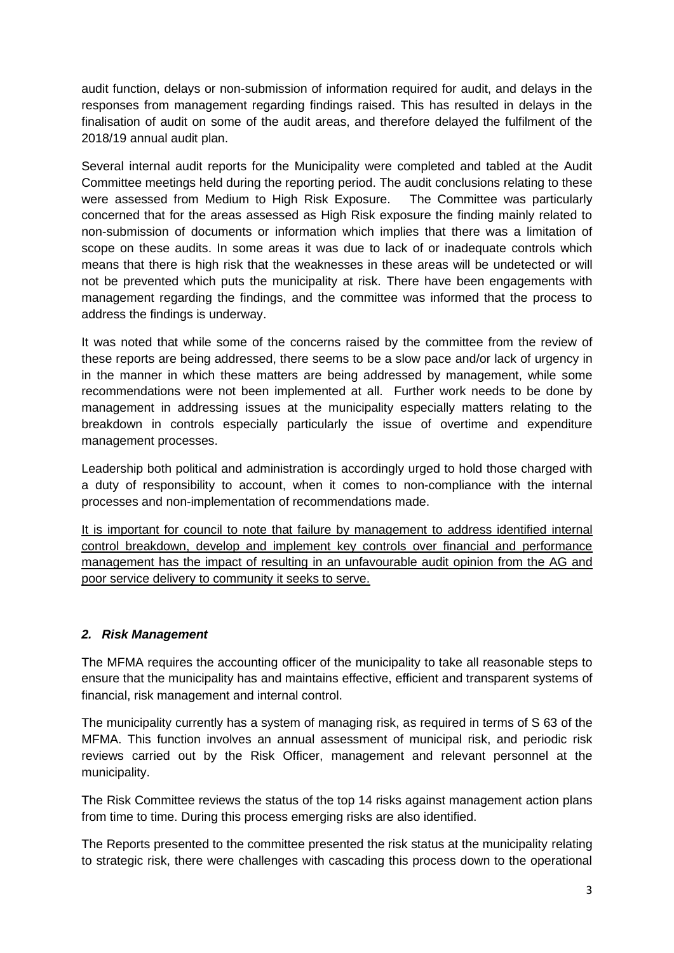audit function, delays or non-submission of information required for audit, and delays in the responses from management regarding findings raised. This has resulted in delays in the finalisation of audit on some of the audit areas, and therefore delayed the fulfilment of the 2018/19 annual audit plan.

Several internal audit reports for the Municipality were completed and tabled at the Audit Committee meetings held during the reporting period. The audit conclusions relating to these were assessed from Medium to High Risk Exposure. The Committee was particularly concerned that for the areas assessed as High Risk exposure the finding mainly related to non-submission of documents or information which implies that there was a limitation of scope on these audits. In some areas it was due to lack of or inadequate controls which means that there is high risk that the weaknesses in these areas will be undetected or will not be prevented which puts the municipality at risk. There have been engagements with management regarding the findings, and the committee was informed that the process to address the findings is underway.

It was noted that while some of the concerns raised by the committee from the review of these reports are being addressed, there seems to be a slow pace and/or lack of urgency in in the manner in which these matters are being addressed by management, while some recommendations were not been implemented at all. Further work needs to be done by management in addressing issues at the municipality especially matters relating to the breakdown in controls especially particularly the issue of overtime and expenditure management processes.

Leadership both political and administration is accordingly urged to hold those charged with a duty of responsibility to account, when it comes to non-compliance with the internal processes and non-implementation of recommendations made.

It is important for council to note that failure by management to address identified internal control breakdown, develop and implement key controls over financial and performance management has the impact of resulting in an unfavourable audit opinion from the AG and poor service delivery to community it seeks to serve.

## *2. Risk Management*

The MFMA requires the accounting officer of the municipality to take all reasonable steps to ensure that the municipality has and maintains effective, efficient and transparent systems of financial, risk management and internal control.

The municipality currently has a system of managing risk, as required in terms of S 63 of the MFMA. This function involves an annual assessment of municipal risk, and periodic risk reviews carried out by the Risk Officer, management and relevant personnel at the municipality.

The Risk Committee reviews the status of the top 14 risks against management action plans from time to time. During this process emerging risks are also identified.

The Reports presented to the committee presented the risk status at the municipality relating to strategic risk, there were challenges with cascading this process down to the operational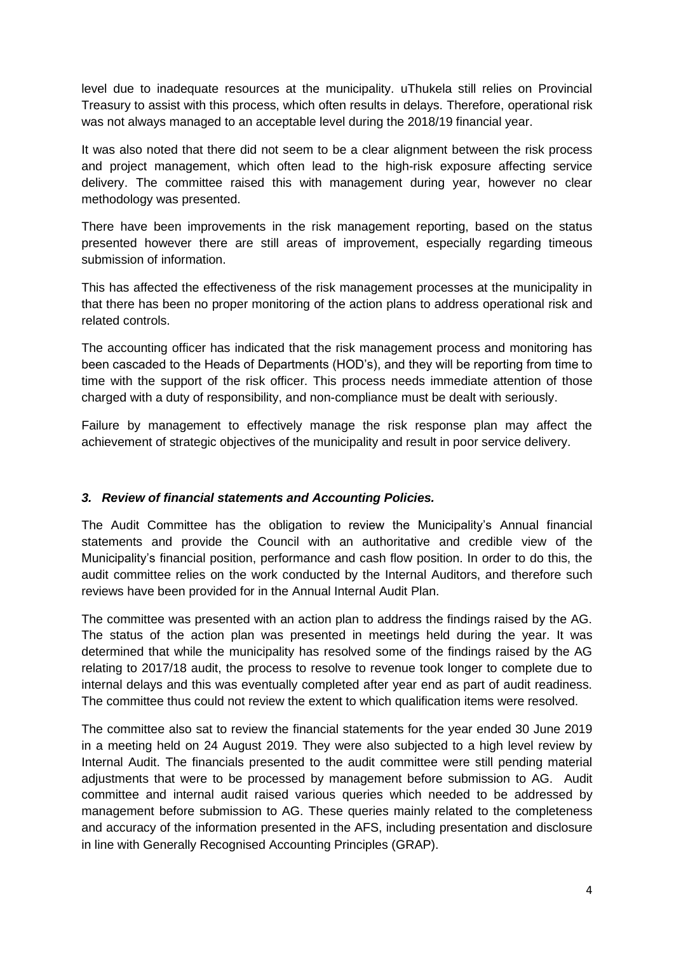level due to inadequate resources at the municipality. uThukela still relies on Provincial Treasury to assist with this process, which often results in delays. Therefore, operational risk was not always managed to an acceptable level during the 2018/19 financial year.

It was also noted that there did not seem to be a clear alignment between the risk process and project management, which often lead to the high-risk exposure affecting service delivery. The committee raised this with management during year, however no clear methodology was presented.

There have been improvements in the risk management reporting, based on the status presented however there are still areas of improvement, especially regarding timeous submission of information.

This has affected the effectiveness of the risk management processes at the municipality in that there has been no proper monitoring of the action plans to address operational risk and related controls.

The accounting officer has indicated that the risk management process and monitoring has been cascaded to the Heads of Departments (HOD's), and they will be reporting from time to time with the support of the risk officer. This process needs immediate attention of those charged with a duty of responsibility, and non-compliance must be dealt with seriously.

Failure by management to effectively manage the risk response plan may affect the achievement of strategic objectives of the municipality and result in poor service delivery.

## *3. Review of financial statements and Accounting Policies.*

The Audit Committee has the obligation to review the Municipality's Annual financial statements and provide the Council with an authoritative and credible view of the Municipality's financial position, performance and cash flow position. In order to do this, the audit committee relies on the work conducted by the Internal Auditors, and therefore such reviews have been provided for in the Annual Internal Audit Plan.

The committee was presented with an action plan to address the findings raised by the AG. The status of the action plan was presented in meetings held during the year. It was determined that while the municipality has resolved some of the findings raised by the AG relating to 2017/18 audit, the process to resolve to revenue took longer to complete due to internal delays and this was eventually completed after year end as part of audit readiness. The committee thus could not review the extent to which qualification items were resolved.

The committee also sat to review the financial statements for the year ended 30 June 2019 in a meeting held on 24 August 2019. They were also subjected to a high level review by Internal Audit. The financials presented to the audit committee were still pending material adjustments that were to be processed by management before submission to AG. Audit committee and internal audit raised various queries which needed to be addressed by management before submission to AG. These queries mainly related to the completeness and accuracy of the information presented in the AFS, including presentation and disclosure in line with Generally Recognised Accounting Principles (GRAP).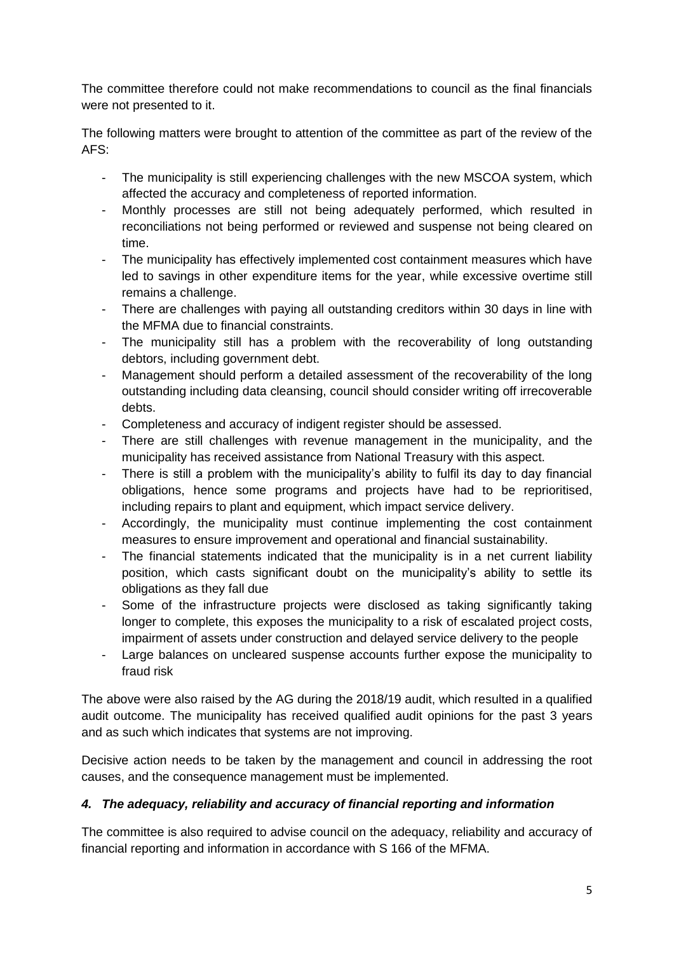The committee therefore could not make recommendations to council as the final financials were not presented to it.

The following matters were brought to attention of the committee as part of the review of the AFS:

- The municipality is still experiencing challenges with the new MSCOA system, which affected the accuracy and completeness of reported information.
- Monthly processes are still not being adequately performed, which resulted in reconciliations not being performed or reviewed and suspense not being cleared on time.
- The municipality has effectively implemented cost containment measures which have led to savings in other expenditure items for the year, while excessive overtime still remains a challenge.
- There are challenges with paying all outstanding creditors within 30 days in line with the MFMA due to financial constraints.
- The municipality still has a problem with the recoverability of long outstanding debtors, including government debt.
- Management should perform a detailed assessment of the recoverability of the long outstanding including data cleansing, council should consider writing off irrecoverable debts.
- Completeness and accuracy of indigent register should be assessed.
- There are still challenges with revenue management in the municipality, and the municipality has received assistance from National Treasury with this aspect.
- There is still a problem with the municipality's ability to fulfil its day to day financial obligations, hence some programs and projects have had to be reprioritised, including repairs to plant and equipment, which impact service delivery.
- Accordingly, the municipality must continue implementing the cost containment measures to ensure improvement and operational and financial sustainability.
- The financial statements indicated that the municipality is in a net current liability position, which casts significant doubt on the municipality's ability to settle its obligations as they fall due
- Some of the infrastructure projects were disclosed as taking significantly taking longer to complete, this exposes the municipality to a risk of escalated project costs, impairment of assets under construction and delayed service delivery to the people
- Large balances on uncleared suspense accounts further expose the municipality to fraud risk

The above were also raised by the AG during the 2018/19 audit, which resulted in a qualified audit outcome. The municipality has received qualified audit opinions for the past 3 years and as such which indicates that systems are not improving.

Decisive action needs to be taken by the management and council in addressing the root causes, and the consequence management must be implemented.

# *4. The adequacy, reliability and accuracy of financial reporting and information*

The committee is also required to advise council on the adequacy, reliability and accuracy of financial reporting and information in accordance with S 166 of the MFMA.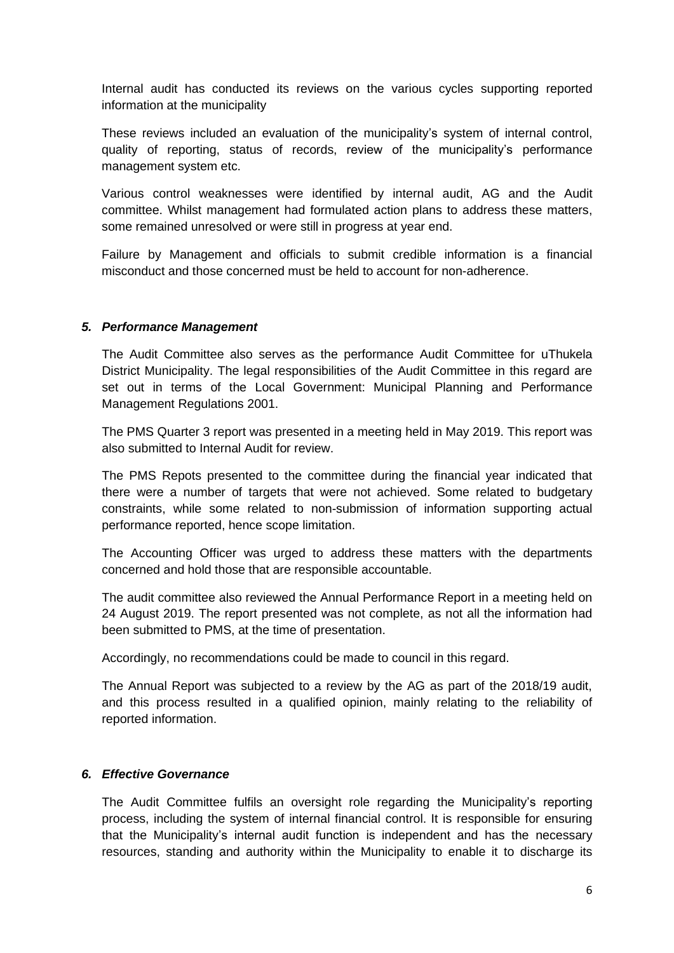Internal audit has conducted its reviews on the various cycles supporting reported information at the municipality

These reviews included an evaluation of the municipality's system of internal control, quality of reporting, status of records, review of the municipality's performance management system etc.

Various control weaknesses were identified by internal audit, AG and the Audit committee. Whilst management had formulated action plans to address these matters, some remained unresolved or were still in progress at year end.

Failure by Management and officials to submit credible information is a financial misconduct and those concerned must be held to account for non-adherence.

#### *5. Performance Management*

The Audit Committee also serves as the performance Audit Committee for uThukela District Municipality. The legal responsibilities of the Audit Committee in this regard are set out in terms of the Local Government: Municipal Planning and Performance Management Regulations 2001.

The PMS Quarter 3 report was presented in a meeting held in May 2019. This report was also submitted to Internal Audit for review.

The PMS Repots presented to the committee during the financial year indicated that there were a number of targets that were not achieved. Some related to budgetary constraints, while some related to non-submission of information supporting actual performance reported, hence scope limitation.

The Accounting Officer was urged to address these matters with the departments concerned and hold those that are responsible accountable.

The audit committee also reviewed the Annual Performance Report in a meeting held on 24 August 2019. The report presented was not complete, as not all the information had been submitted to PMS, at the time of presentation.

Accordingly, no recommendations could be made to council in this regard.

The Annual Report was subjected to a review by the AG as part of the 2018/19 audit, and this process resulted in a qualified opinion, mainly relating to the reliability of reported information.

#### *6. Effective Governance*

The Audit Committee fulfils an oversight role regarding the Municipality's reporting process, including the system of internal financial control. It is responsible for ensuring that the Municipality's internal audit function is independent and has the necessary resources, standing and authority within the Municipality to enable it to discharge its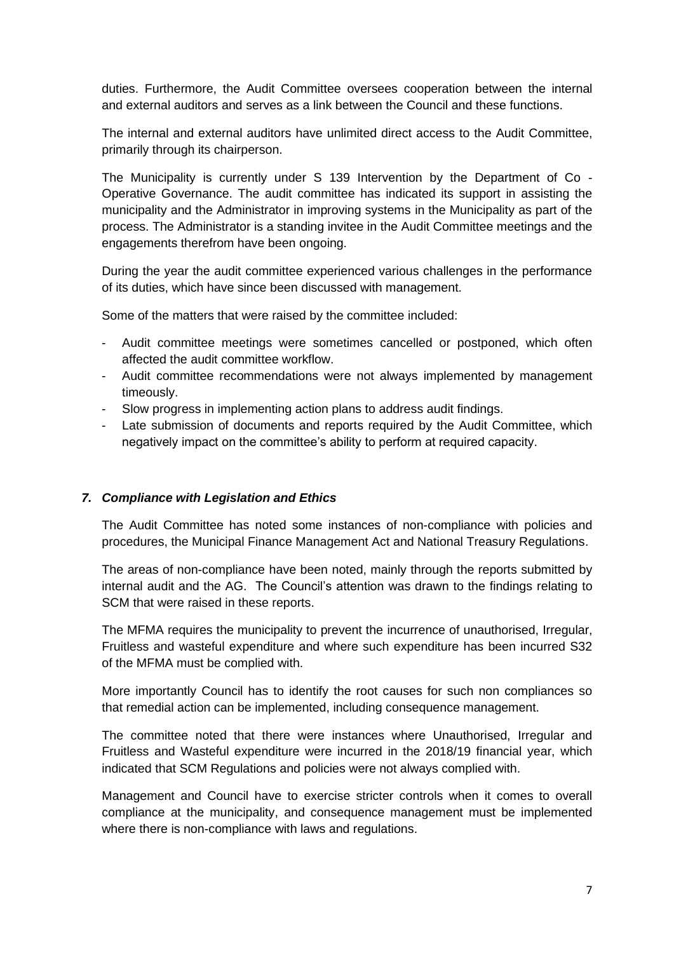duties. Furthermore, the Audit Committee oversees cooperation between the internal and external auditors and serves as a link between the Council and these functions.

The internal and external auditors have unlimited direct access to the Audit Committee, primarily through its chairperson.

The Municipality is currently under S 139 Intervention by the Department of Co - Operative Governance. The audit committee has indicated its support in assisting the municipality and the Administrator in improving systems in the Municipality as part of the process. The Administrator is a standing invitee in the Audit Committee meetings and the engagements therefrom have been ongoing.

During the year the audit committee experienced various challenges in the performance of its duties, which have since been discussed with management.

Some of the matters that were raised by the committee included:

- Audit committee meetings were sometimes cancelled or postponed, which often affected the audit committee workflow.
- Audit committee recommendations were not always implemented by management timeously.
- Slow progress in implementing action plans to address audit findings.
- Late submission of documents and reports required by the Audit Committee, which negatively impact on the committee's ability to perform at required capacity.

#### *7. Compliance with Legislation and Ethics*

The Audit Committee has noted some instances of non-compliance with policies and procedures, the Municipal Finance Management Act and National Treasury Regulations.

The areas of non-compliance have been noted, mainly through the reports submitted by internal audit and the AG. The Council's attention was drawn to the findings relating to SCM that were raised in these reports.

The MFMA requires the municipality to prevent the incurrence of unauthorised, Irregular, Fruitless and wasteful expenditure and where such expenditure has been incurred S32 of the MFMA must be complied with.

More importantly Council has to identify the root causes for such non compliances so that remedial action can be implemented, including consequence management.

The committee noted that there were instances where Unauthorised, Irregular and Fruitless and Wasteful expenditure were incurred in the 2018/19 financial year, which indicated that SCM Regulations and policies were not always complied with.

Management and Council have to exercise stricter controls when it comes to overall compliance at the municipality, and consequence management must be implemented where there is non-compliance with laws and regulations.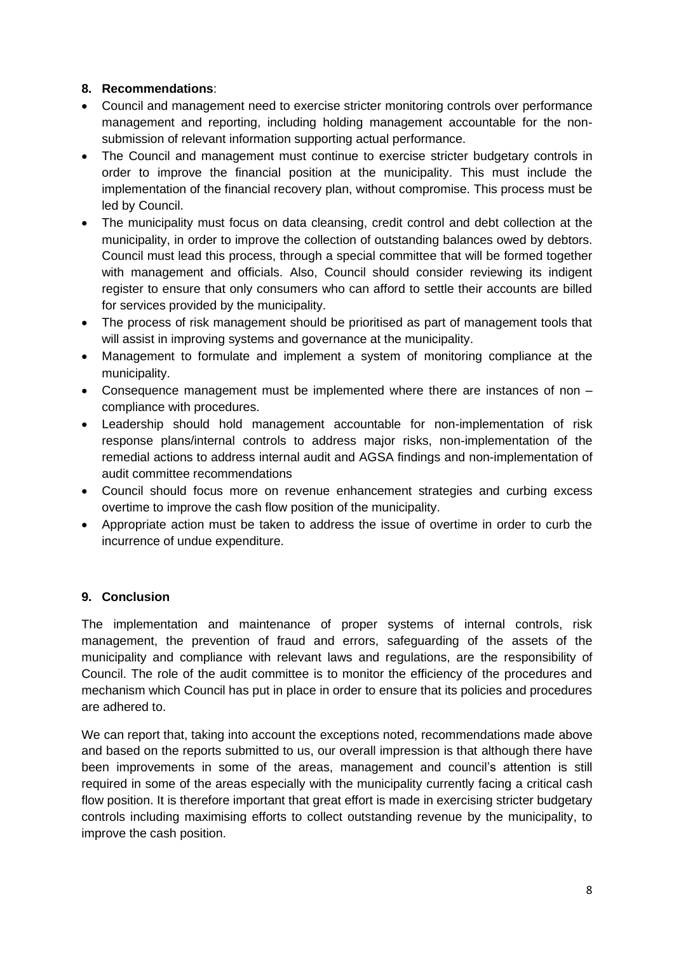## **8. Recommendations**:

- Council and management need to exercise stricter monitoring controls over performance management and reporting, including holding management accountable for the nonsubmission of relevant information supporting actual performance.
- The Council and management must continue to exercise stricter budgetary controls in order to improve the financial position at the municipality. This must include the implementation of the financial recovery plan, without compromise. This process must be led by Council.
- The municipality must focus on data cleansing, credit control and debt collection at the municipality, in order to improve the collection of outstanding balances owed by debtors. Council must lead this process, through a special committee that will be formed together with management and officials. Also, Council should consider reviewing its indigent register to ensure that only consumers who can afford to settle their accounts are billed for services provided by the municipality.
- The process of risk management should be prioritised as part of management tools that will assist in improving systems and governance at the municipality.
- Management to formulate and implement a system of monitoring compliance at the municipality.
- Consequence management must be implemented where there are instances of non compliance with procedures.
- Leadership should hold management accountable for non-implementation of risk response plans/internal controls to address major risks, non-implementation of the remedial actions to address internal audit and AGSA findings and non-implementation of audit committee recommendations
- Council should focus more on revenue enhancement strategies and curbing excess overtime to improve the cash flow position of the municipality.
- Appropriate action must be taken to address the issue of overtime in order to curb the incurrence of undue expenditure.

# **9. Conclusion**

The implementation and maintenance of proper systems of internal controls, risk management, the prevention of fraud and errors, safeguarding of the assets of the municipality and compliance with relevant laws and regulations, are the responsibility of Council. The role of the audit committee is to monitor the efficiency of the procedures and mechanism which Council has put in place in order to ensure that its policies and procedures are adhered to.

We can report that, taking into account the exceptions noted, recommendations made above and based on the reports submitted to us, our overall impression is that although there have been improvements in some of the areas, management and council's attention is still required in some of the areas especially with the municipality currently facing a critical cash flow position. It is therefore important that great effort is made in exercising stricter budgetary controls including maximising efforts to collect outstanding revenue by the municipality, to improve the cash position.